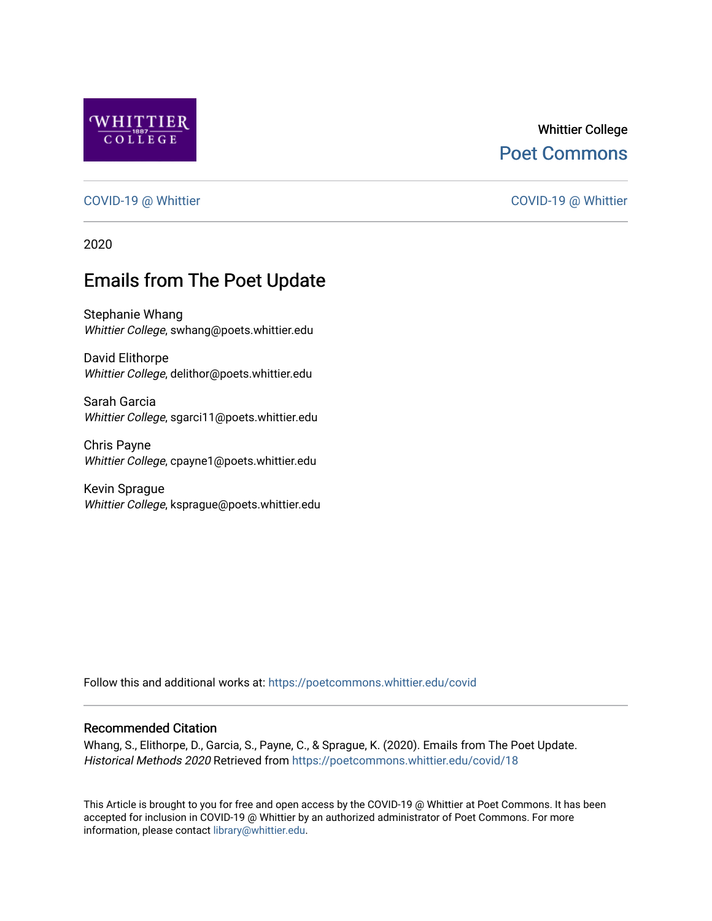

# Whittier College [Poet Commons](https://poetcommons.whittier.edu/)

#### [COVID-19 @ Whittier](https://poetcommons.whittier.edu/covid) [COVID-19 @ Whittier](https://poetcommons.whittier.edu/covid_whittier)

2020

# Emails from The Poet Update

Stephanie Whang Whittier College, swhang@poets.whittier.edu

David Elithorpe Whittier College, delithor@poets.whittier.edu

Sarah Garcia Whittier College, sgarci11@poets.whittier.edu

Chris Payne Whittier College, cpayne1@poets.whittier.edu

Kevin Sprague Whittier College, ksprague@poets.whittier.edu

Follow this and additional works at: [https://poetcommons.whittier.edu/covid](https://poetcommons.whittier.edu/covid?utm_source=poetcommons.whittier.edu%2Fcovid%2F18&utm_medium=PDF&utm_campaign=PDFCoverPages)

#### Recommended Citation

Whang, S., Elithorpe, D., Garcia, S., Payne, C., & Sprague, K. (2020). Emails from The Poet Update. Historical Methods 2020 Retrieved from [https://poetcommons.whittier.edu/covid/18](https://poetcommons.whittier.edu/covid/18?utm_source=poetcommons.whittier.edu%2Fcovid%2F18&utm_medium=PDF&utm_campaign=PDFCoverPages) 

This Article is brought to you for free and open access by the COVID-19 @ Whittier at Poet Commons. It has been accepted for inclusion in COVID-19 @ Whittier by an authorized administrator of Poet Commons. For more information, please contact [library@whittier.edu.](mailto:library@whittier.edu)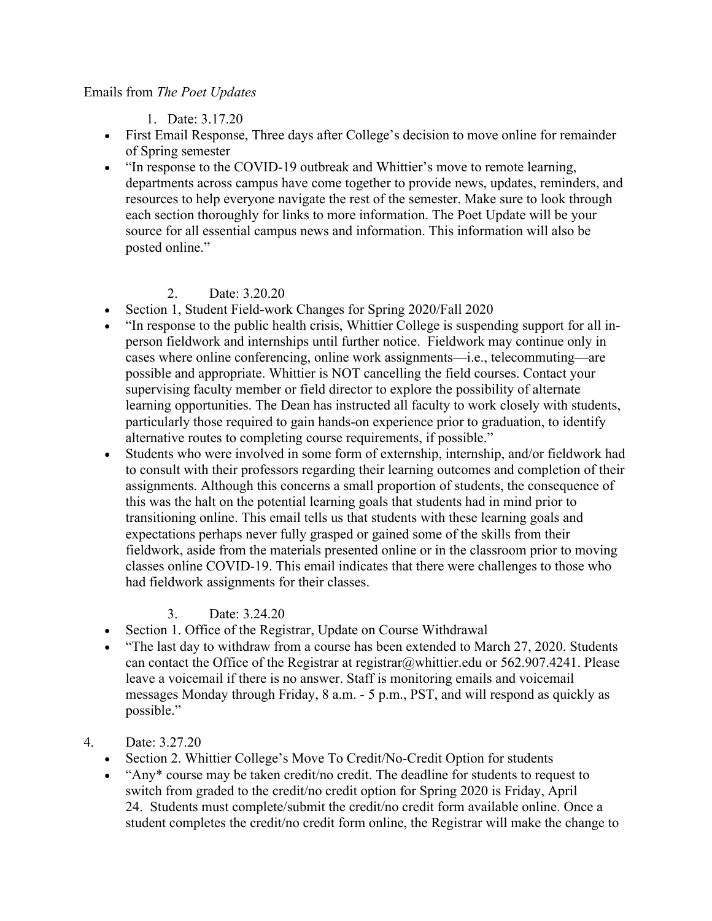### Emails from *The Poet Updates*

1. Date: 3.17.20

- First Email Response, Three days after College's decision to move online for remainder of Spring semester
- "In response to the COVID-19 outbreak and Whittier's move to remote learning, departments across campus have come together to provide news, updates, reminders, and resources to help everyone navigate the rest of the semester. Make sure to look through each section thoroughly for links to more information. The Poet Update will be your source for all essential campus news and information. This information will also be posted online."

### 2. Date: 3.20.20

- Section 1, Student Field-work Changes for Spring 2020/Fall 2020
- "In response to the public health crisis, Whittier College is suspending support for all inperson fieldwork and internships until further notice. Fieldwork may continue only in cases where online conferencing, online work assignments—i.e., telecommuting—are possible and appropriate. Whittier is NOT cancelling the field courses. Contact your supervising faculty member or field director to explore the possibility of alternate learning opportunities. The Dean has instructed all faculty to work closely with students, particularly those required to gain hands-on experience prior to graduation, to identify alternative routes to completing course requirements, if possible."
- Students who were involved in some form of externship, internship, and/or fieldwork had to consult with their professors regarding their learning outcomes and completion of their assignments. Although this concerns a small proportion of students, the consequence of this was the halt on the potential learning goals that students had in mind prior to transitioning online. This email tells us that students with these learning goals and expectations perhaps never fully grasped or gained some of the skills from their fieldwork, aside from the materials presented online or in the classroom prior to moving classes online COVID-19. This email indicates that there were challenges to those who had fieldwork assignments for their classes.

# 3. Date: 3.24.20

- Section 1. Office of the Registrar, Update on Course Withdrawal
- "The last day to withdraw from a course has been extended to March 27, 2020. Students can contact the Office of the Registrar at registrar@whittier.edu or 562.907.4241. Please leave a voicemail if there is no answer. Staff is monitoring emails and voicemail messages Monday through Friday, 8 a.m. - 5 p.m., PST, and will respond as quickly as possible."
- 4. Date: 3.27.20
	- Section 2. Whittier College's Move To Credit/No-Credit Option for students
	- "Any\* course may be taken credit/no credit. The deadline for students to request to switch from graded to the credit/no credit option for Spring 2020 is Friday, April 24. Students must complete/submit the credit/no credit form available online. Once a student completes the credit/no credit form online, the Registrar will make the change to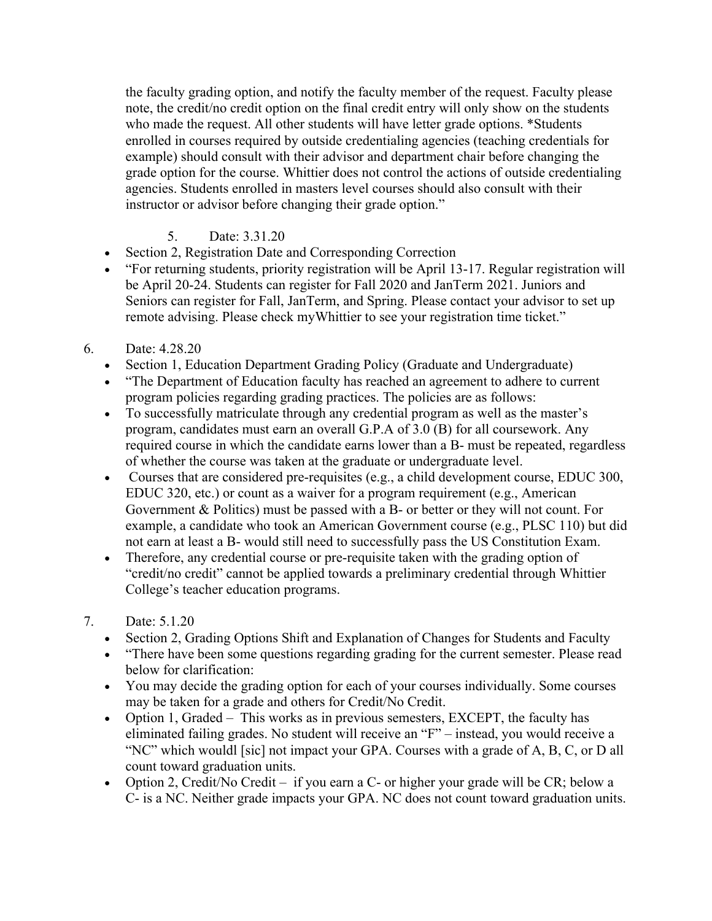the faculty grading option, and notify the faculty member of the request. Faculty please note, the credit/no credit option on the final credit entry will only show on the students who made the request. All other students will have letter grade options. \*Students enrolled in courses required by outside credentialing agencies (teaching credentials for example) should consult with their advisor and department chair before changing the grade option for the course. Whittier does not control the actions of outside credentialing agencies. Students enrolled in masters level courses should also consult with their instructor or advisor before changing their grade option."

# 5. Date: 3.31.20

- Section 2, Registration Date and Corresponding Correction
- "For returning students, priority registration will be April 13-17. Regular registration will be April 20-24. Students can register for Fall 2020 and JanTerm 2021. Juniors and Seniors can register for Fall, JanTerm, and Spring. Please contact your advisor to set up remote advising. Please check myWhittier to see your registration time ticket."
- 6. Date: 4.28.20
	- Section 1, Education Department Grading Policy (Graduate and Undergraduate)
	- "The Department of Education faculty has reached an agreement to adhere to current program policies regarding grading practices. The policies are as follows:
	- To successfully matriculate through any credential program as well as the master's program, candidates must earn an overall G.P.A of 3.0 (B) for all coursework. Any required course in which the candidate earns lower than a B- must be repeated, regardless of whether the course was taken at the graduate or undergraduate level.
	- Courses that are considered pre-requisites (e.g., a child development course, EDUC 300, EDUC 320, etc.) or count as a waiver for a program requirement (e.g., American Government & Politics) must be passed with a B- or better or they will not count. For example, a candidate who took an American Government course (e.g., PLSC 110) but did not earn at least a B- would still need to successfully pass the US Constitution Exam.
	- Therefore, any credential course or pre-requisite taken with the grading option of "credit/no credit" cannot be applied towards a preliminary credential through Whittier College's teacher education programs.

### 7. Date: 5.1.20

- Section 2, Grading Options Shift and Explanation of Changes for Students and Faculty
- "There have been some questions regarding grading for the current semester. Please read below for clarification:
- You may decide the grading option for each of your courses individually. Some courses may be taken for a grade and others for Credit/No Credit.
- Option 1, Graded This works as in previous semesters, EXCEPT, the faculty has eliminated failing grades. No student will receive an "F" – instead, you would receive a "NC" which wouldl [sic] not impact your GPA. Courses with a grade of A, B, C, or D all count toward graduation units.
- Option 2, Credit/No Credit if you earn a C- or higher your grade will be CR; below a C- is a NC. Neither grade impacts your GPA. NC does not count toward graduation units.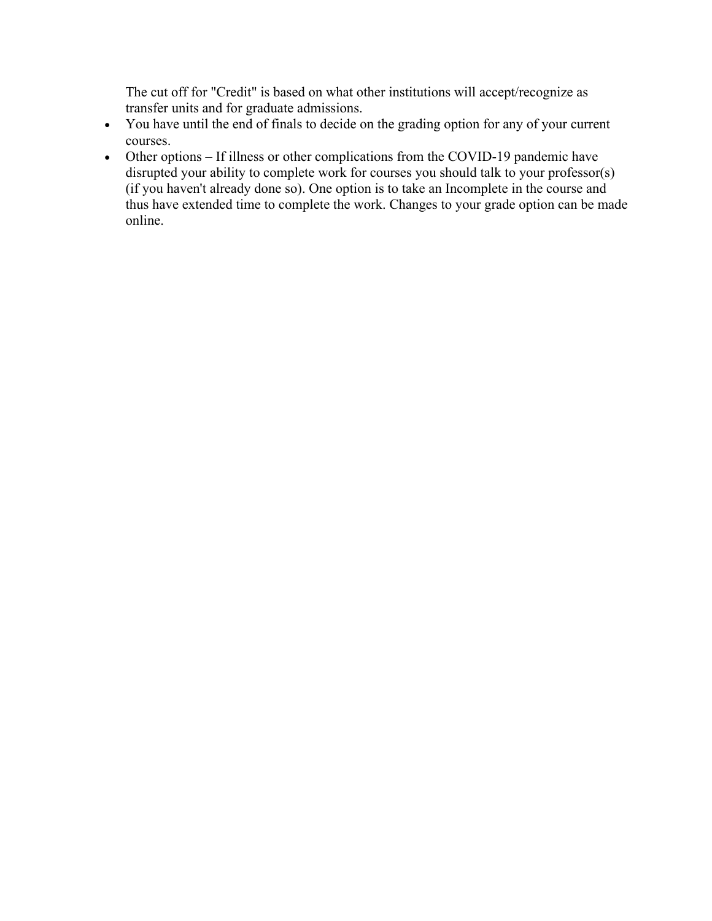The cut off for "Credit" is based on what other institutions will accept/recognize as transfer units and for graduate admissions.

- You have until the end of finals to decide on the grading option for any of your current courses.
- Other options If illness or other complications from the COVID-19 pandemic have disrupted your ability to complete work for courses you should talk to your professor(s) (if you haven't already done so). One option is to take an Incomplete in the course and thus have extended time to complete the work. Changes to your grade option can be made online.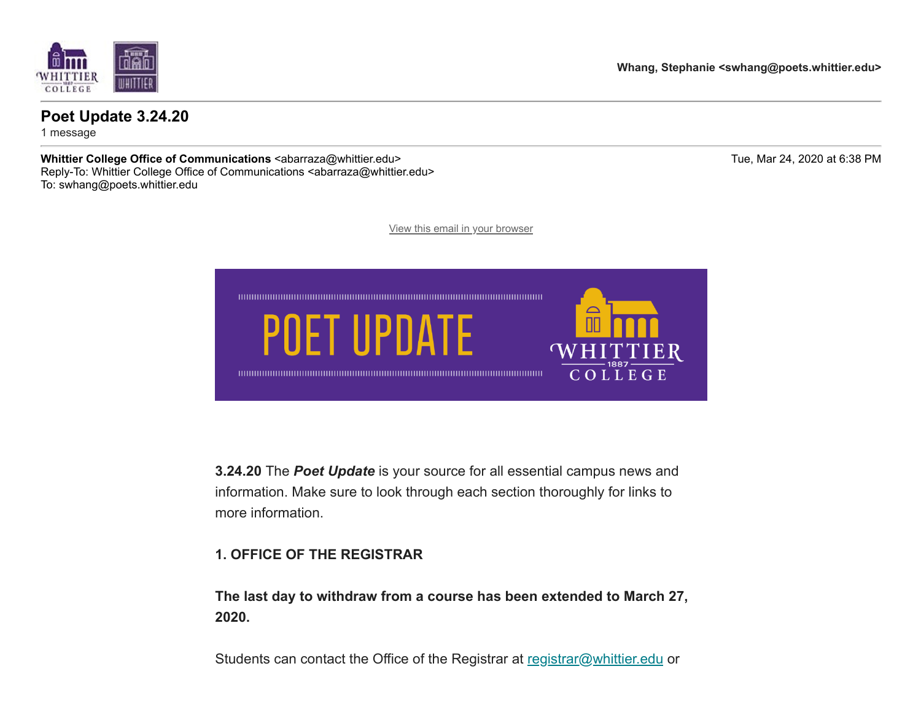

**Whang, Stephanie <swhang@poets.whittier.edu>**

# **Poet Update 3.24.20**

1 message

**Whittier College Office of Communications** <abarraza@whittier.edu> Tue, Mar 24, 2020 at 6:38 PM Reply-To: Whittier College Office of Communications <abarraza@whittier.edu> To: swhang@poets.whittier.edu

[View this email in your browser](https://mailchi.mp/ea0cfdcd56ad/poet-update-3808665?e=127bd8fa54)



**3.24.20** The *Poet Update* is your source for all essential campus news and information. Make sure to look through each section thoroughly for links to more information.

# **1. OFFICE OF THE REGISTRAR**

**The last day to withdraw from a course has been extended to March 27, 2020.**

Students can contact the Office of the Registrar at [registrar@whittier.edu](mailto:registrar@whittier.edu) or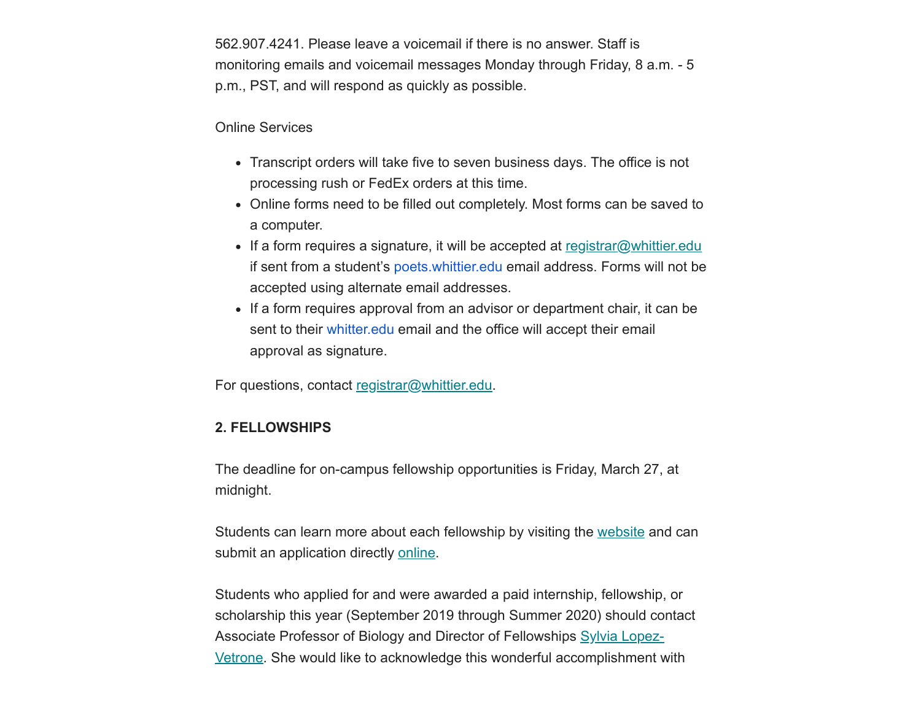562.907.4241. Please leave a voicemail if there is no answer. Staff is monitoring emails and voicemail messages Monday through Friday, 8 a.m. - 5 p.m., PST, and will respond as quickly as possible.

Online Services

- Transcript orders will take five to seven business days. The office is not processing rush or FedEx orders at this time.
- Online forms need to be filled out completely. Most forms can be saved to a computer.
- If a form requires a signature, it will be accepted at [registrar@whittier.edu](mailto:registrar@whittier.edu) if sent from a student's [poets.whittier.edu](http://poets.whittier.edu/) email address. Forms will not be accepted using alternate email addresses.
- If a form requires approval from an advisor or department chair, it can be sent to their [whitter.edu](http://whitter.edu/) email and the office will accept their email approval as signature.

For questions, contact [registrar@whittier.edu.](mailto:registrar@whittier.edu)

### **2. FELLOWSHIPS**

The deadline for on-campus fellowship opportunities is Friday, March 27, at midnight.

Students can learn more about each fellowship by visiting the [website](https://whittier.us3.list-manage.com/track/click?u=fbb7a4995b1996e279635fe61&id=1c6e4f6ac2&e=127bd8fa54) and can submit an application directly [online.](https://whittier.us3.list-manage.com/track/click?u=fbb7a4995b1996e279635fe61&id=e63a589b22&e=127bd8fa54)

Students who applied for and were awarded a paid internship, fellowship, or scholarship this year (September 2019 through Summer 2020) should contact [Associate Professor of Biology and Director of Fellowships Sylvia Lopez-](mailto:svetrone@whittier.edu)Vetrone. She would like to acknowledge this wonderful accomplishment with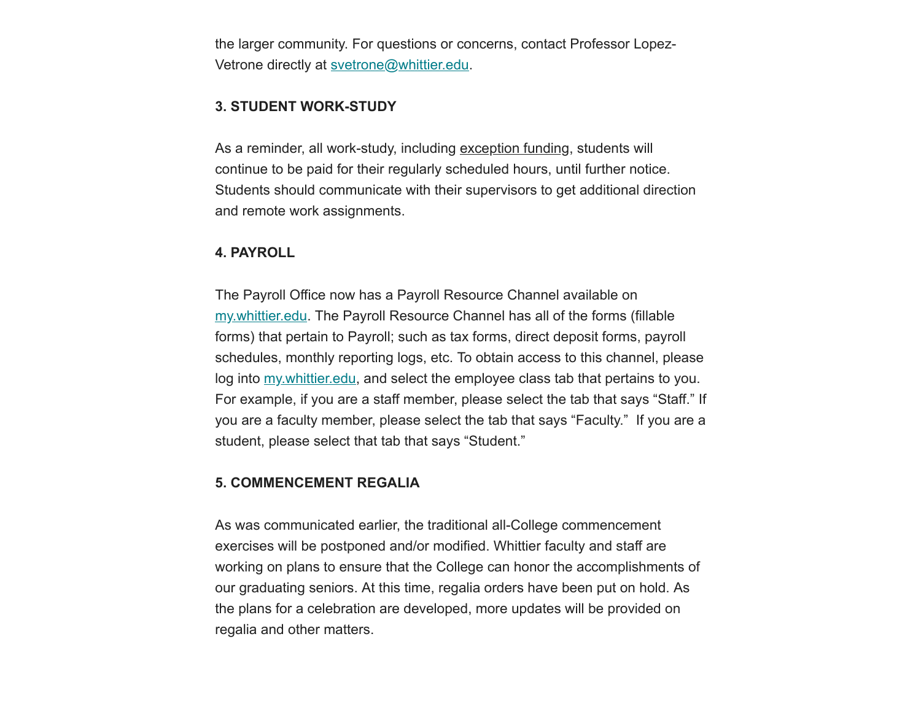the larger community. For questions or concerns, contact Professor Lopez-Vetrone directly at [svetrone@whittier.edu](mailto:svetrone@whittier.edu).

#### **3. STUDENT WORK-STUDY**

As a reminder, all work-study, including exception funding, students will continue to be paid for their regularly scheduled hours, until further notice. Students should communicate with their supervisors to get additional direction and remote work assignments.

#### **4. PAYROLL**

The Payroll Office now has a Payroll Resource Channel available on [my.whittier.edu](https://whittier.us3.list-manage.com/track/click?u=fbb7a4995b1996e279635fe61&id=5a08a3a978&e=127bd8fa54). The Payroll Resource Channel has all of the forms (fillable forms) that pertain to Payroll; such as tax forms, direct deposit forms, payroll schedules, monthly reporting logs, etc. To obtain access to this channel, please log into my whittier edu, and select the employee class tab that pertains to you. For example, if you are a staff member, please select the tab that says "Staff." If you are a faculty member, please select the tab that says "Faculty." If you are a student, please select that tab that says "Student."

#### **5. COMMENCEMENT REGALIA**

As was communicated earlier, the traditional all-College commencement exercises will be postponed and/or modified. Whittier faculty and staff are working on plans to ensure that the College can honor the accomplishments of our graduating seniors. At this time, regalia orders have been put on hold. As the plans for a celebration are developed, more updates will be provided on regalia and other matters.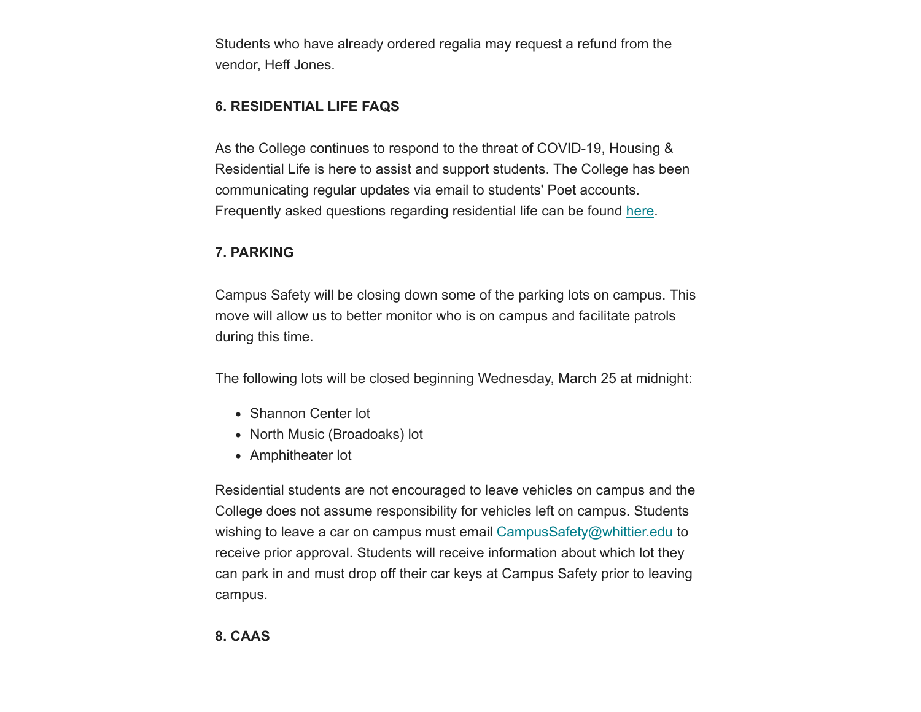Students who have already ordered regalia may request a refund from the vendor, Heff Jones.

# **6. RESIDENTIAL LIFE FAQS**

As the College continues to respond to the threat of COVID-19, Housing & Residential Life is here to assist and support students. The College has been communicating regular updates via email to students' Poet accounts. Frequently asked questions regarding residential life can be found [here](https://whittier.us3.list-manage.com/track/click?u=fbb7a4995b1996e279635fe61&id=3d20af0748&e=127bd8fa54).

# **7. PARKING**

Campus Safety will be closing down some of the parking lots on campus. This move will allow us to better monitor who is on campus and facilitate patrols during this time.

The following lots will be closed beginning Wednesday, March 25 at midnight:

- Shannon Center lot
- North Music (Broadoaks) lot
- Amphitheater lot

Residential students are not encouraged to leave vehicles on campus and the College does not assume responsibility for vehicles left on campus. Students wishing to leave a car on campus must email [CampusSafety@whittier.edu](mailto:CampusSafety@whittier.edu) to receive prior approval. Students will receive information about which lot they can park in and must drop off their car keys at Campus Safety prior to leaving campus.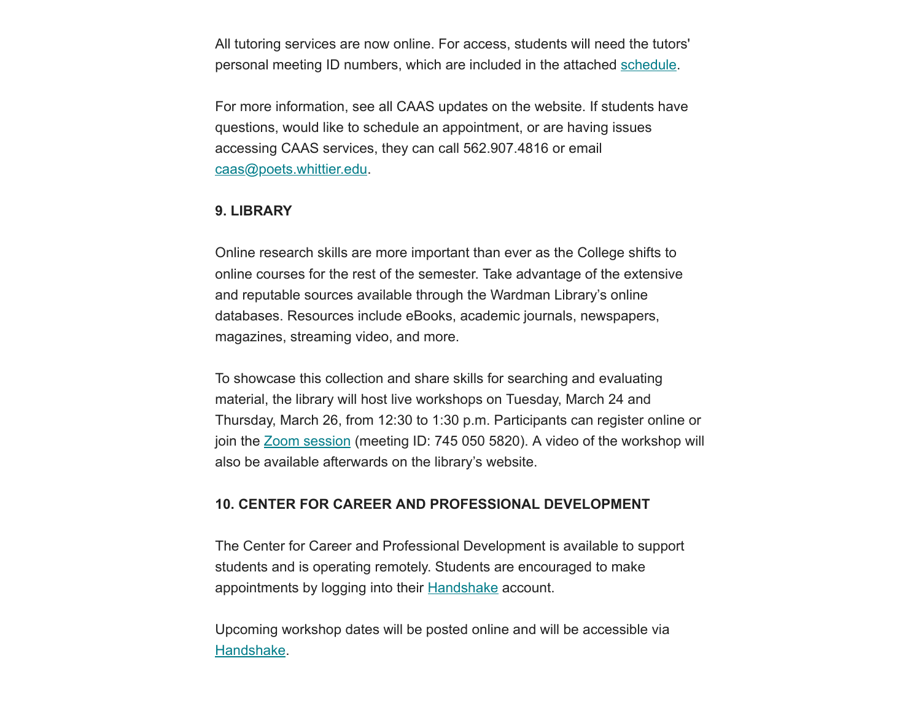All tutoring services are now online. For access, students will need the tutors' personal meeting ID numbers, which are included in the attached [schedule.](https://whittier.us3.list-manage.com/track/click?u=fbb7a4995b1996e279635fe61&id=e257c46c32&e=127bd8fa54)

For more information, see all CAAS updates on the website. If students have questions, would like to schedule an appointment, or are having issues accessing CAAS services, they can call 562.907.4816 or email [caas@poets.whittier.edu.](mailto:caas@poets.whittier.edu)

#### **9. LIBRARY**

Online research skills are more important than ever as the College shifts to online courses for the rest of the semester. Take advantage of the extensive and reputable sources available through the Wardman Library's online databases. Resources include eBooks, academic journals, newspapers, magazines, streaming video, and more.

To showcase this collection and share skills for searching and evaluating material, the library will host live workshops on Tuesday, March 24 and Thursday, March 26, from 12:30 to 1:30 p.m. Participants can register online or join the [Zoom session](https://whittier.us3.list-manage.com/track/click?u=fbb7a4995b1996e279635fe61&id=0c0b3bd43e&e=127bd8fa54) (meeting ID: 745 050 5820). A video of the workshop will also be available afterwards on the library's website.

#### **10. CENTER FOR CAREER AND PROFESSIONAL DEVELOPMENT**

The Center for Career and Professional Development is available to support students and is operating remotely. Students are encouraged to make appointments by logging into their **Handshake** account.

Upcoming workshop dates will be posted online and will be accessible via [Handshake.](https://whittier.us3.list-manage.com/track/click?u=fbb7a4995b1996e279635fe61&id=bceac6589e&e=127bd8fa54)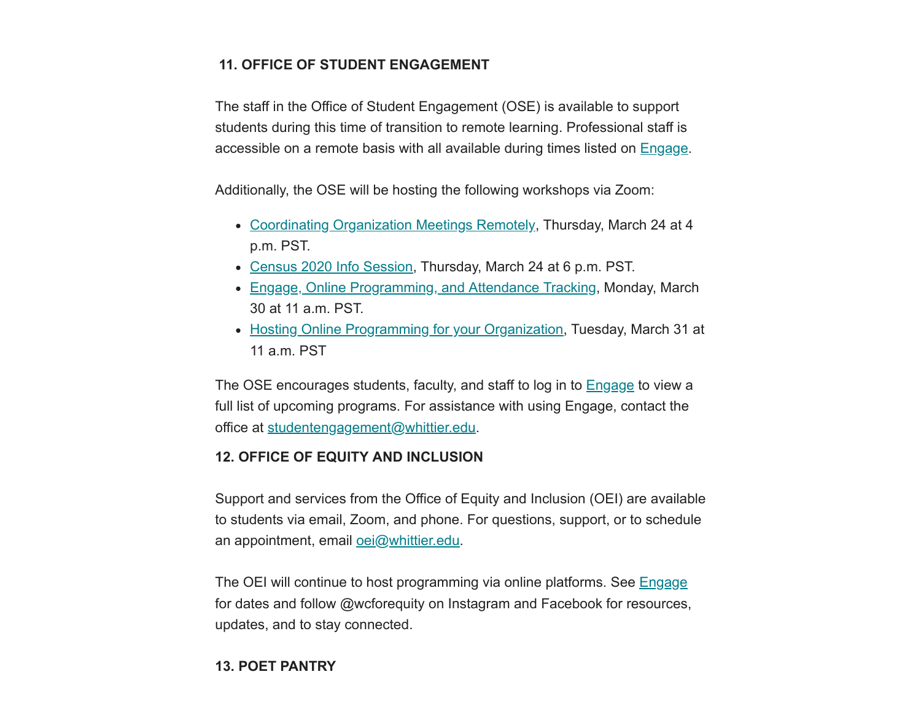# **11. OFFICE OF STUDENT ENGAGEMENT**

The staff in the Office of Student Engagement (OSE) is available to support students during this time of transition to remote learning. Professional staff is accessible on a remote basis with all available during times listed on **Engage**.

Additionally, the OSE will be hosting the following workshops via Zoom:

- [Coordinating Organization Meetings Remotely](https://whittier.us3.list-manage.com/track/click?u=fbb7a4995b1996e279635fe61&id=d376528266&e=127bd8fa54), Thursday, March 24 at 4 p.m. PST.
- [Census 2020 Info Session](https://whittier.us3.list-manage.com/track/click?u=fbb7a4995b1996e279635fe61&id=10d4ef5f95&e=127bd8fa54), Thursday, March 24 at 6 p.m. PST.
- [Engage, Online Programming, and Attendance Tracking,](https://whittier.us3.list-manage.com/track/click?u=fbb7a4995b1996e279635fe61&id=a1caef0717&e=127bd8fa54) Monday, March 30 at 11 a.m. PST.
- [Hosting Online Programming for your Organization](https://whittier.us3.list-manage.com/track/click?u=fbb7a4995b1996e279635fe61&id=3b3af3da73&e=127bd8fa54), Tuesday, March 31 at 11 a.m. PST

The OSE encourages students, faculty, and staff to log in to **Engage** to view a full list of upcoming programs. For assistance with using Engage, contact the office at [studentengagement@whittier.edu](https://whittier.us3.list-manage.com/track/click?u=fbb7a4995b1996e279635fe61&id=fb852ad957&e=127bd8fa54).

# **12. OFFICE OF EQUITY AND INCLUSION**

Support and services from the Office of Equity and Inclusion (OEI) are available to students via email, Zoom, and phone. For questions, support, or to schedule an appointment, email [oei@whittier.edu](https://whittier.us3.list-manage.com/track/click?u=fbb7a4995b1996e279635fe61&id=1cd0c76ef9&e=127bd8fa54).

The OEI will continue to host programming via online platforms. See **[Engage](https://whittier.us3.list-manage.com/track/click?u=fbb7a4995b1996e279635fe61&id=638d9f7a54&e=127bd8fa54)** for dates and follow @wcforequity on Instagram and Facebook for resources, updates, and to stay connected.

# **13. POET PANTRY**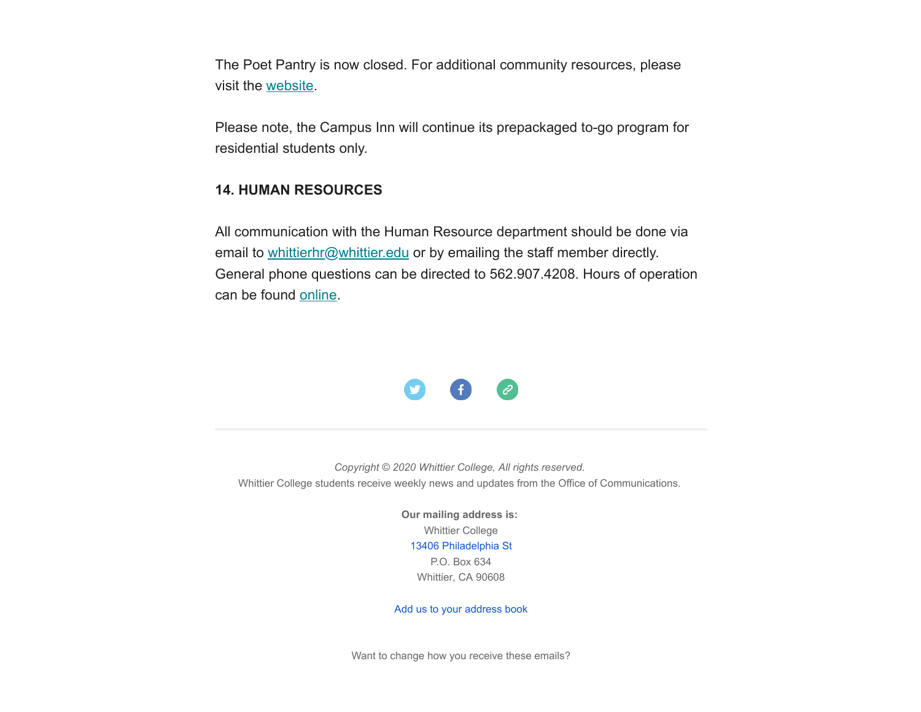The Poet Pantry is now closed. For additional community resources, please visit the [website.](https://whittier.us3.list-manage.com/track/click?u=fbb7a4995b1996e279635fe61&id=70f437f7a1&e=127bd8fa54)

Please note, the Campus Inn will continue its prepackaged to-go program for residential students only.

#### **14. HUMAN RESOURCES**

All communication with the Human Resource department should be done via email to [whittierhr@whittier.edu](https://whittier.us3.list-manage.com/track/click?u=fbb7a4995b1996e279635fe61&id=5ea3bb5e82&e=127bd8fa54) or by emailing the staff member directly. General phone questions can be directed to 562.907.4208. Hours of operation can be found [online.](https://whittier.us3.list-manage.com/track/click?u=fbb7a4995b1996e279635fe61&id=0cb5788edc&e=127bd8fa54)



*Copyright © 2020 Whittier College, All rights reserved.* Whittier College students receive weekly news and updates from the Office of Communications.

> **Our mailing address is:** Whittier College [13406 Philadelphia St](https://www.google.com/maps/search/13406+Philadelphia+St?entry=gmail&source=g) P.O. Box 634 Whittier, CA 90608

[Add us to your address book](https://whittier.us3.list-manage.com/vcard?u=fbb7a4995b1996e279635fe61&id=10e33fceee)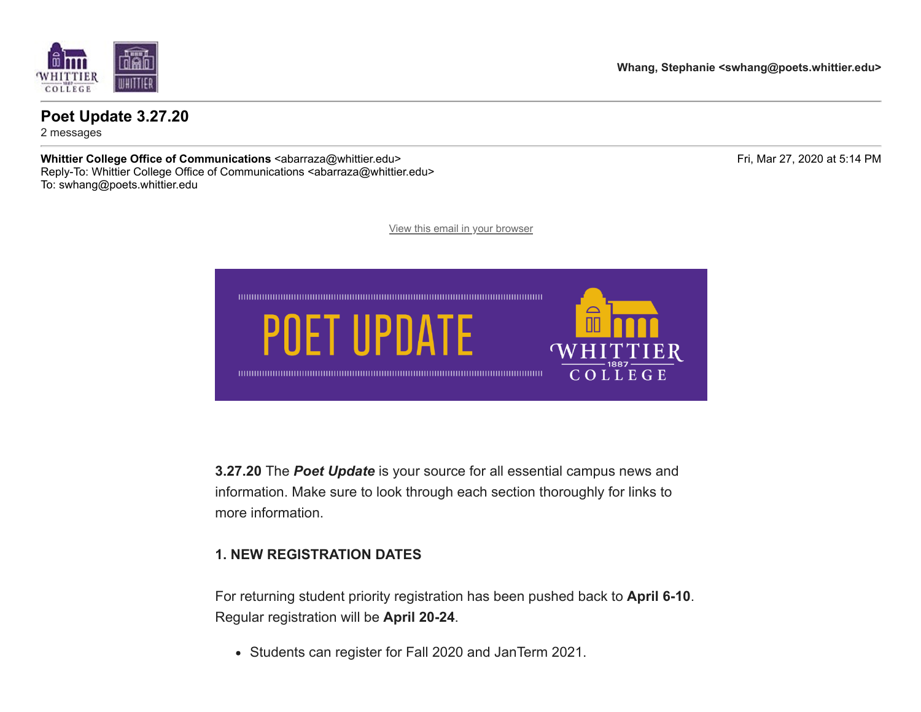

**Whang, Stephanie <swhang@poets.whittier.edu>**

# **Poet Update 3.27.20**

2 messages

**Whittier College Office of Communications** <abarraza@whittier.edu> Fri, Mar 27, 2020 at 5:14 PM Reply-To: Whittier College Office of Communications <abarraza@whittier.edu> To: swhang@poets.whittier.edu

[View this email in your browser](https://mailchi.mp/0801e5badeda/poet-update-3808677?e=127bd8fa54)



**3.27.20** The *Poet Update* is your source for all essential campus news and information. Make sure to look through each section thoroughly for links to more information.

# **1. NEW REGISTRATION DATES**

For returning student priority registration has been pushed back to **April 6-10**. Regular registration will be **April 20-24**.

Students can register for Fall 2020 and JanTerm 2021.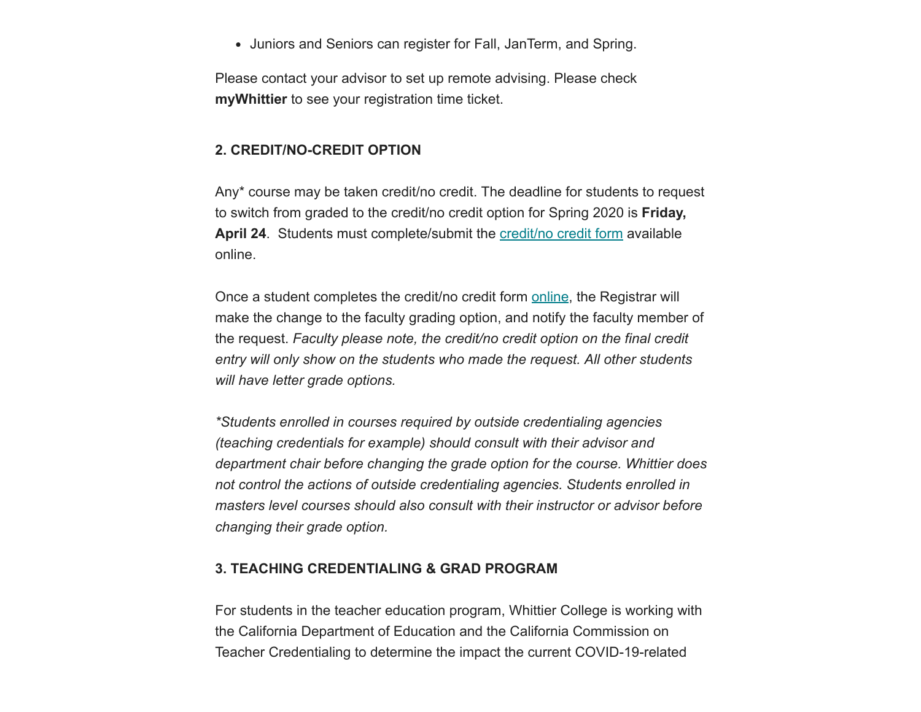Juniors and Seniors can register for Fall, JanTerm, and Spring.

Please contact your advisor to set up remote advising. Please check **myWhittier** to see your registration time ticket.

### **2. CREDIT/NO-CREDIT OPTION**

Any\* course may be taken credit/no credit. The deadline for students to request to switch from graded to the credit/no credit option for Spring 2020 is **Friday,** April 24. Students must complete/submit the **credit/no credit form** available online.

Once a student completes the credit/no credit form [online,](https://whittier.us3.list-manage.com/track/click?u=fbb7a4995b1996e279635fe61&id=f765922d97&e=127bd8fa54) the Registrar will make the change to the faculty grading option, and notify the faculty member of the request. *Faculty please note, the credit/no credit option on the final credit entry will only show on the students who made the request. All other students will have letter grade options.*

*\*Students enrolled in courses required by outside credentialing agencies (teaching credentials for example) should consult with their advisor and department chair before changing the grade option for the course. Whittier does not control the actions of outside credentialing agencies. Students enrolled in masters level courses should also consult with their instructor or advisor before changing their grade option.* 

### **3. TEACHING CREDENTIALING & GRAD PROGRAM**

For students in the teacher education program, Whittier College is working with the California Department of Education and the California Commission on Teacher Credentialing to determine the impact the current COVID-19-related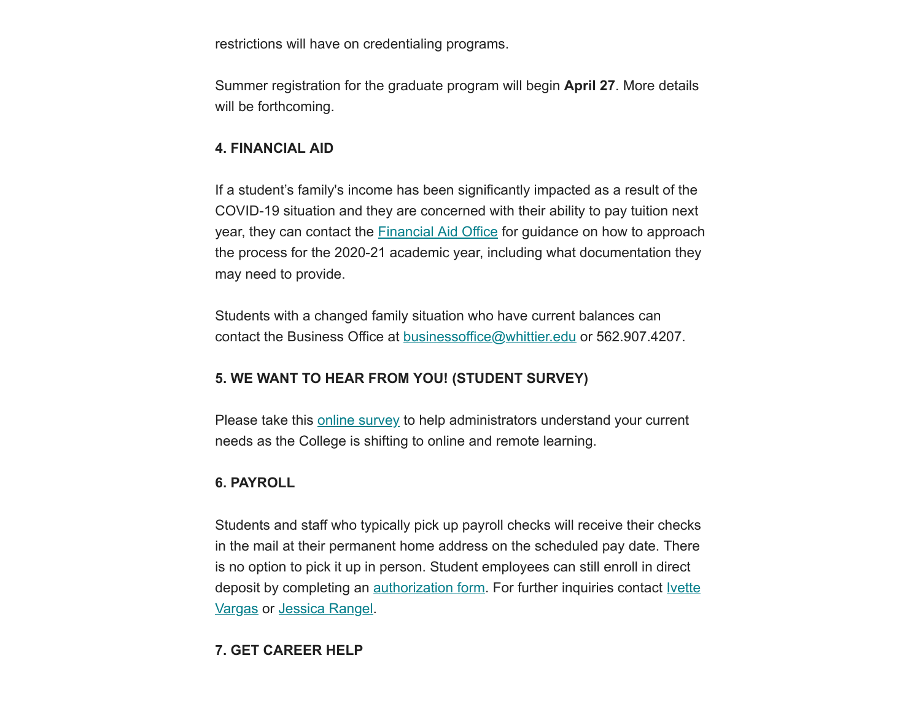restrictions will have on credentialing programs.

Summer registration for the graduate program will begin **April 27**. More details will be forthcoming.

#### **4. FINANCIAL AID**

If a student's family's income has been significantly impacted as a result of the COVID-19 situation and they are concerned with their ability to pay tuition next year, they can contact the **[Financial Aid Office](https://whittier.us3.list-manage.com/track/click?u=fbb7a4995b1996e279635fe61&id=ab8f753ce8&e=127bd8fa54)** for guidance on how to approach the process for the 2020-21 academic year, including what documentation they may need to provide.

Students with a changed family situation who have current balances can contact the Business Office at **businessoffice@whittier.edu** or 562.907.4207.

# **5. WE WANT TO HEAR FROM YOU! (STUDENT SURVEY)**

Please take this [online survey](https://whittier.us3.list-manage.com/track/click?u=fbb7a4995b1996e279635fe61&id=23af81336a&e=127bd8fa54) to help administrators understand your current needs as the College is shifting to online and remote learning.

### **6. PAYROLL**

Students and staff who typically pick up payroll checks will receive their checks in the mail at their permanent home address on the scheduled pay date. There is no option to pick it up in person. Student employees can still enroll in direct deposit by completing an authorization form. For further inquiries contact lyette Vargas or [Jessica Rangel.](mailto:jalvare5@whittier.edu)

# **7. GET CAREER HELP**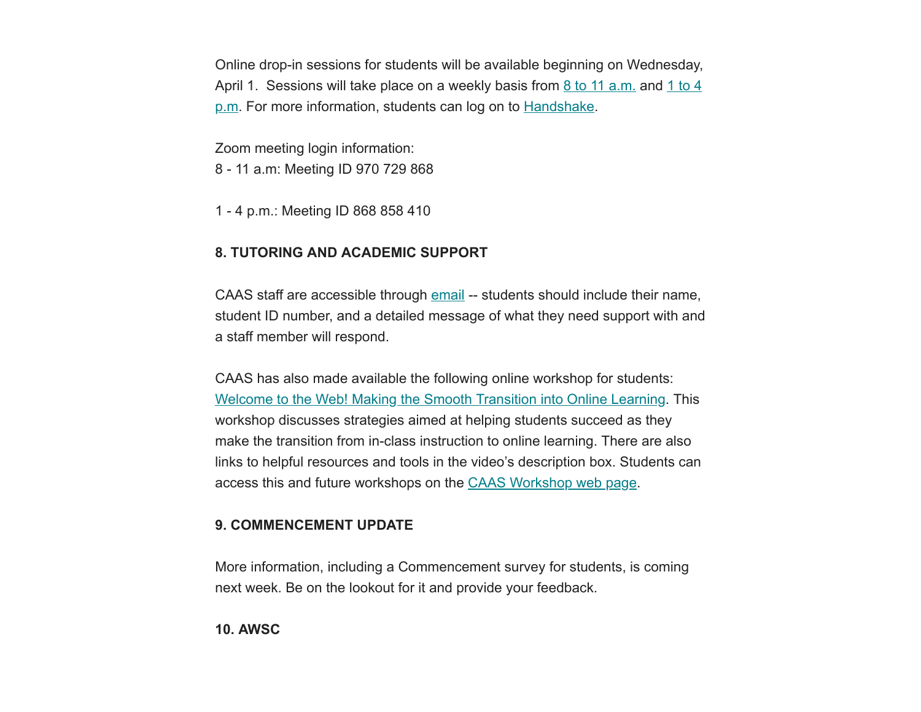Online drop-in sessions for students will be available beginning on Wednesday, April 1. Sessions will take place on a weekly basis from  $8$  to 11 a.m. and 1 to 4 p.m. For more information, students can log on to [Handshake](https://whittier.us3.list-manage.com/track/click?u=fbb7a4995b1996e279635fe61&id=2b06067661&e=127bd8fa54).

Zoom meeting login information:

8 - 11 a.m: Meeting ID 970 729 868

1 - 4 p.m.: Meeting ID 868 858 410

### **8. TUTORING AND ACADEMIC SUPPORT**

CAAS staff are accessible through [email](mailto:caas@whittier.edu) -- students should include their name, student ID number, and a detailed message of what they need support with and a staff member will respond.

CAAS has also made available the following online workshop for students: [Welcome to the Web! Making the Smooth Transition into Online Learning](https://whittier.us3.list-manage.com/track/click?u=fbb7a4995b1996e279635fe61&id=12500ed6fc&e=127bd8fa54). This workshop discusses strategies aimed at helping students succeed as they make the transition from in-class instruction to online learning. There are also links to helpful resources and tools in the video's description box. Students can access this and future workshops on the [CAAS Workshop web page.](https://whittier.us3.list-manage.com/track/click?u=fbb7a4995b1996e279635fe61&id=b720d17de3&e=127bd8fa54)

### **9. COMMENCEMENT UPDATE**

More information, including a Commencement survey for students, is coming next week. Be on the lookout for it and provide your feedback.

**10. AWSC**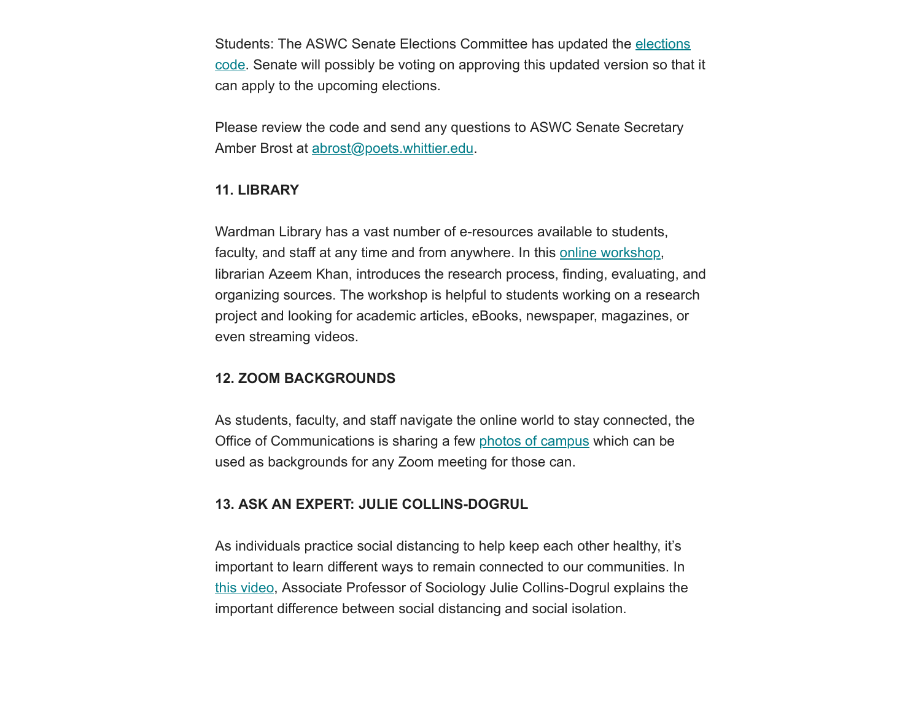[Students: The ASWC Senate Elections Committee has updated the elections](https://whittier.us3.list-manage.com/track/click?u=fbb7a4995b1996e279635fe61&id=cab7ace46a&e=127bd8fa54) code. Senate will possibly be voting on approving this updated version so that it can apply to the upcoming elections.

Please review the code and send any questions to ASWC Senate Secretary Amber Brost at [abrost@poets.whittier.edu](mailto:abrost@poets.whittier.edu).

#### **11. LIBRARY**

Wardman Library has a vast number of e-resources available to students, faculty, and staff at any time and from anywhere. In this [online workshop](https://whittier.us3.list-manage.com/track/click?u=fbb7a4995b1996e279635fe61&id=e8d109e0b4&e=127bd8fa54), librarian Azeem Khan, introduces the research process, finding, evaluating, and organizing sources. The workshop is helpful to students working on a research project and looking for academic articles, eBooks, newspaper, magazines, or even streaming videos.

#### **12. ZOOM BACKGROUNDS**

As students, faculty, and staff navigate the online world to stay connected, the Office of Communications is sharing a few [photos of campus](https://whittier.us3.list-manage.com/track/click?u=fbb7a4995b1996e279635fe61&id=8c14b2c38e&e=127bd8fa54) which can be used as backgrounds for any Zoom meeting for those can.

#### **13. ASK AN EXPERT: JULIE COLLINS-DOGRUL**

As individuals practice social distancing to help keep each other healthy, it's important to learn different ways to remain connected to our communities. In [this video,](https://whittier.us3.list-manage.com/track/click?u=fbb7a4995b1996e279635fe61&id=b1ca3a7312&e=127bd8fa54) Associate Professor of Sociology Julie Collins-Dogrul explains the important difference between social distancing and social isolation.